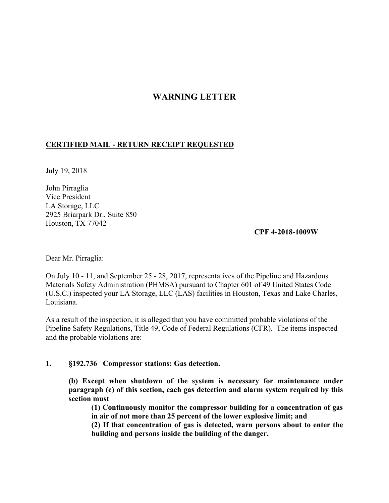# **WARNING LETTER**

## **CERTIFIED MAIL - RETURN RECEIPT REQUESTED**

July 19, 2018

John Pirraglia Vice President LA Storage, LLC 2925 Briarpark Dr., Suite 850 Houston, TX 77042

**CPF 4-2018-1009W** 

Dear Mr. Pirraglia:

On July 10 - 11, and September 25 - 28, 2017, representatives of the Pipeline and Hazardous Materials Safety Administration (PHMSA) pursuant to Chapter 601 of 49 United States Code (U.S.C.) inspected your LA Storage, LLC (LAS) facilities in Houston, Texas and Lake Charles, Louisiana.

As a result of the inspection, it is alleged that you have committed probable violations of the Pipeline Safety Regulations, Title 49, Code of Federal Regulations (CFR). The items inspected and the probable violations are:

#### **1. §192.736 Compressor stations: Gas detection.**

 **(b) Except when shutdown of the system is necessary for maintenance under section must paragraph (c) of this section, each gas detection and alarm system required by this** 

**(1) Continuously monitor the compressor building for a concentration of gas in air of not more than 25 percent of the lower explosive limit; and** 

**(2) If that concentration of gas is detected, warn persons about to enter the building and persons inside the building of the danger.**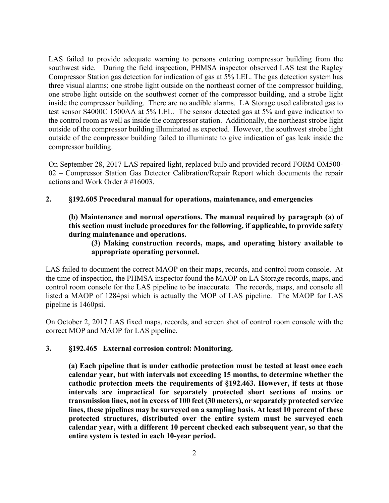LAS failed to provide adequate warning to persons entering compressor building from the southwest side. During the field inspection, PHMSA inspector observed LAS test the Ragley inside the compressor building. There are no audible alarms. LA Storage used calibrated gas to outside of the compressor building failed to illuminate to give indication of gas leak inside the Compressor Station gas detection for indication of gas at 5% LEL. The gas detection system has three visual alarms; one strobe light outside on the northeast corner of the compressor building, one strobe light outside on the southwest corner of the compressor building, and a strobe light test sensor S4000C 1500AA at 5% LEL. The sensor detected gas at 5% and gave indication to the control room as well as inside the compressor station. Additionally, the northeast strobe light outside of the compressor building illuminated as expected. However, the southwest strobe light compressor building.

On September 28, 2017 LAS repaired light, replaced bulb and provided record FORM OM500- 02 – Compressor Station Gas Detector Calibration/Repair Report which documents the repair actions and Work Order # #16003.

## **2. §192.605 Procedural manual for operations, maintenance, and emergencies**

**(b) Maintenance and normal operations. The manual required by paragraph (a) of this section must include procedures for the following, if applicable, to provide safety during maintenance and operations.** 

**(3) Making construction records, maps, and operating history available to appropriate operating personnel.** 

 LAS failed to document the correct MAOP on their maps, records, and control room console. At control room console for the LAS pipeline to be inaccurate. The records, maps, and console all listed a MAOP of 1284psi which is actually the MOP of LAS pipeline. The MAOP for LAS the time of inspection, the PHMSA inspector found the MAOP on LA Storage records, maps, and pipeline is 1460psi.

On October 2, 2017 LAS fixed maps, records, and screen shot of control room console with the correct MOP and MAOP for LAS pipeline.

#### **3. §192.465 External corrosion control: Monitoring.**

 **cathodic protection meets the requirements of §192.463. However, if tests at those transmission lines, not in excess of 100 feet (30 meters), or separately protected service (a) Each pipeline that is under cathodic protection must be tested at least once each calendar year, but with intervals not exceeding 15 months, to determine whether the intervals are impractical for separately protected short sections of mains or lines, these pipelines may be surveyed on a sampling basis. At least 10 percent of these protected structures, distributed over the entire system must be surveyed each calendar year, with a different 10 percent checked each subsequent year, so that the entire system is tested in each 10-year period.**